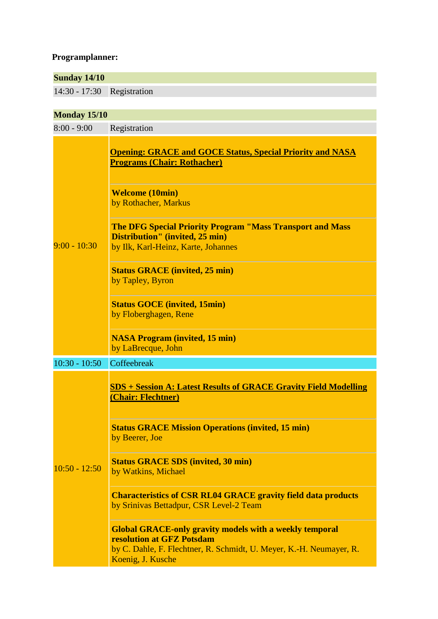## **Programplanner:**

| <b>Sunday 14/10</b> |                                                                                                                                                                                         |
|---------------------|-----------------------------------------------------------------------------------------------------------------------------------------------------------------------------------------|
| $14:30 - 17:30$     | Registration                                                                                                                                                                            |
|                     |                                                                                                                                                                                         |
| <b>Monday 15/10</b> |                                                                                                                                                                                         |
| $8:00 - 9:00$       | Registration                                                                                                                                                                            |
| $9:00 - 10:30$      | <b>Opening: GRACE and GOCE Status, Special Priority and NASA</b><br><b>Programs (Chair: Rothacher)</b>                                                                                  |
|                     | <b>Welcome (10min)</b><br>by Rothacher, Markus                                                                                                                                          |
|                     | <b>The DFG Special Priority Program "Mass Transport and Mass</b><br>Distribution" (invited, 25 min)<br>by Ilk, Karl-Heinz, Karte, Johannes                                              |
|                     | <b>Status GRACE (invited, 25 min)</b><br>by Tapley, Byron                                                                                                                               |
|                     | <b>Status GOCE</b> (invited, 15min)<br>by Floberghagen, Rene                                                                                                                            |
|                     | <b>NASA Program (invited, 15 min)</b><br>by LaBrecque, John                                                                                                                             |
| $10:30 - 10:50$     | Coffeebreak                                                                                                                                                                             |
| $10:50 - 12:50$     | <b>SDS</b> + Session A: Latest Results of GRACE Gravity Field Modelling<br>(Chair: Flechtner)<br><b>Status GRACE Mission Operations (invited, 15 min)</b>                               |
|                     | by Beerer, Joe                                                                                                                                                                          |
|                     | <b>Status GRACE SDS (invited, 30 min)</b><br>by Watkins, Michael                                                                                                                        |
|                     | <b>Characteristics of CSR RL04 GRACE gravity field data products</b><br>by Srinivas Bettadpur, CSR Level-2 Team                                                                         |
|                     | <b>Global GRACE-only gravity models with a weekly temporal</b><br>resolution at GFZ Potsdam<br>by C. Dahle, F. Flechtner, R. Schmidt, U. Meyer, K.-H. Neumayer, R.<br>Koenig, J. Kusche |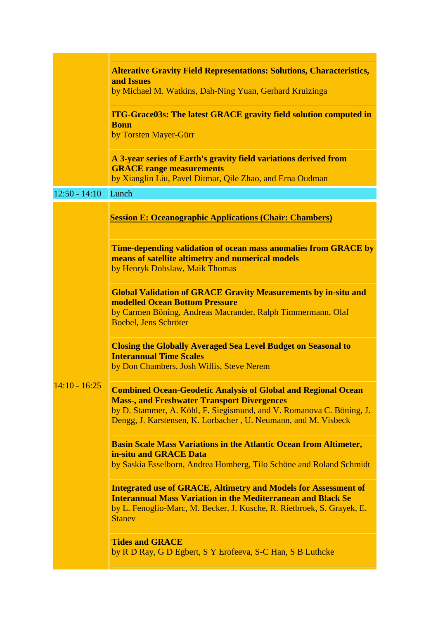|                 | <b>Alterative Gravity Field Representations: Solutions, Characteristics,</b><br>and Issues<br>by Michael M. Watkins, Dah-Ning Yuan, Gerhard Kruizinga                                                                                                                |
|-----------------|----------------------------------------------------------------------------------------------------------------------------------------------------------------------------------------------------------------------------------------------------------------------|
|                 | <b>ITG-Grace03s: The latest GRACE gravity field solution computed in</b><br><b>Bonn</b><br>by Torsten Mayer-Gürr                                                                                                                                                     |
|                 | A 3-year series of Earth's gravity field variations derived from<br><b>GRACE</b> range measurements<br>by Xianglin Liu, Pavel Ditmar, Qile Zhao, and Erna Oudman                                                                                                     |
| $12:50 - 14:10$ | Lunch                                                                                                                                                                                                                                                                |
|                 | <b>Session E: Oceanographic Applications (Chair: Chambers)</b>                                                                                                                                                                                                       |
| $14:10 - 16:25$ | Time-depending validation of ocean mass anomalies from GRACE by<br>means of satellite altimetry and numerical models<br>by Henryk Dobslaw, Maik Thomas                                                                                                               |
|                 | <b>Global Validation of GRACE Gravity Measurements by in-situ and</b><br><b>modelled Ocean Bottom Pressure</b><br>by Carmen Böning, Andreas Macrander, Ralph Timmermann, Olaf<br>Boebel, Jens Schröter                                                               |
|                 | <b>Closing the Globally Averaged Sea Level Budget on Seasonal to</b><br><b>Interannual Time Scales</b><br>by Don Chambers, Josh Willis, Steve Nerem                                                                                                                  |
|                 | <b>Combined Ocean-Geodetic Analysis of Global and Regional Ocean</b><br><b>Mass-, and Freshwater Transport Divergences</b><br>by D. Stammer, A. Köhl, F. Siegismund, and V. Romanova C. Böning, J.<br>Dengg, J. Karstensen, K. Lorbacher, U. Neumann, and M. Visbeck |
|                 | <b>Basin Scale Mass Variations in the Atlantic Ocean from Altimeter,</b><br>in-situ and GRACE Data<br>by Saskia Esselborn, Andrea Homberg, Tilo Schöne and Roland Schmidt                                                                                            |
|                 | <b>Integrated use of GRACE, Altimetry and Models for Assessment of</b><br><b>Interannual Mass Variation in the Mediterranean and Black Se</b><br>by L. Fenoglio-Marc, M. Becker, J. Kusche, R. Rietbroek, S. Grayek, E.<br><b>Stanev</b>                             |
|                 | <b>Tides and GRACE</b><br>by R D Ray, G D Egbert, S Y Erofeeva, S-C Han, S B Luthcke                                                                                                                                                                                 |

**Contract**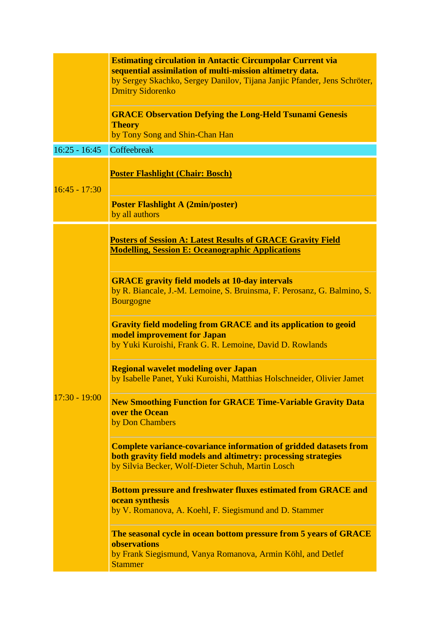|                 | <b>Estimating circulation in Antactic Circumpolar Current via</b><br>sequential assimilation of multi-mission altimetry data.<br>by Sergey Skachko, Sergey Danilov, Tijana Janjic Pfander, Jens Schröter,<br><b>Dmitry Sidorenko</b> |
|-----------------|--------------------------------------------------------------------------------------------------------------------------------------------------------------------------------------------------------------------------------------|
|                 | <b>GRACE Observation Defying the Long-Held Tsunami Genesis</b><br><b>Theory</b><br>by Tony Song and Shin-Chan Han                                                                                                                    |
| $16:25 - 16:45$ | Coffeebreak                                                                                                                                                                                                                          |
| $16:45 - 17:30$ | <b>Poster Flashlight (Chair: Bosch)</b>                                                                                                                                                                                              |
|                 | <b>Poster Flashlight A (2min/poster)</b><br>by all authors                                                                                                                                                                           |
|                 | <b>Posters of Session A: Latest Results of GRACE Gravity Field</b><br><b>Modelling, Session E: Oceanographic Applications</b>                                                                                                        |
|                 | <b>GRACE</b> gravity field models at 10-day intervals<br>by R. Biancale, J.-M. Lemoine, S. Bruinsma, F. Perosanz, G. Balmino, S.<br><b>Bourgogne</b>                                                                                 |
|                 | <b>Gravity field modeling from GRACE and its application to geoid</b><br>model improvement for Japan<br>by Yuki Kuroishi, Frank G. R. Lemoine, David D. Rowlands                                                                     |
|                 | <b>Regional wavelet modeling over Japan</b><br>by Isabelle Panet, Yuki Kuroishi, Matthias Holschneider, Olivier Jamet                                                                                                                |
| $17:30 - 19:00$ | <b>New Smoothing Function for GRACE Time-Variable Gravity Data</b><br>over the Ocean<br>by Don Chambers                                                                                                                              |
|                 | <b>Complete variance-covariance information of gridded datasets from</b><br>both gravity field models and altimetry: processing strategies<br>by Silvia Becker, Wolf-Dieter Schuh, Martin Losch                                      |
|                 | <b>Bottom pressure and freshwater fluxes estimated from GRACE and</b><br>ocean synthesis<br>by V. Romanova, A. Koehl, F. Siegismund and D. Stammer                                                                                   |
|                 | The seasonal cycle in ocean bottom pressure from 5 years of GRACE<br>observations<br>by Frank Siegismund, Vanya Romanova, Armin Köhl, and Detlef<br><b>Stammer</b>                                                                   |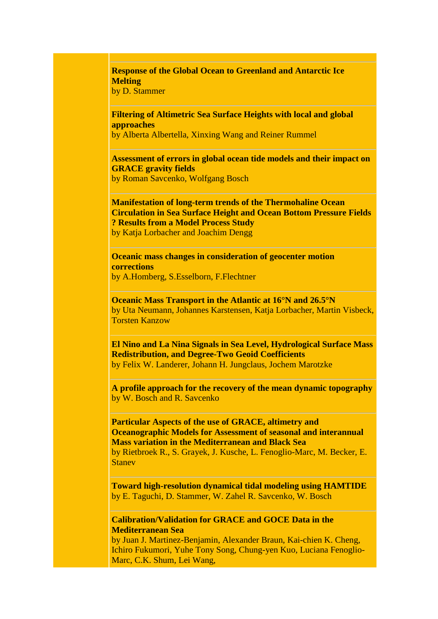**Response of the Global Ocean to Greenland and Antarctic Ice Melting**

by D. Stammer

**Filtering of Altimetric Sea Surface Heights with local and global approaches**

by Alberta Albertella, Xinxing Wang and Reiner Rummel

**Assessment of errors in global ocean tide models and their impact on GRACE gravity fields** by Roman Savcenko, Wolfgang Bosch

**Manifestation of long-term trends of the Thermohaline Ocean Circulation in Sea Surface Height and Ocean Bottom Pressure Fields ? Results from a Model Process Study** by Katja Lorbacher and Joachim Dengg

**Oceanic mass changes in consideration of geocenter motion corrections** by A.Homberg, S.Esselborn, F.Flechtner

**Oceanic Mass Transport in the Atlantic at 16°N and 26.5°N** by Uta Neumann, Johannes Karstensen, Katja Lorbacher, Martin Visbeck, Torsten Kanzow

**El Nino and La Nina Signals in Sea Level, Hydrological Surface Mass Redistribution, and Degree-Two Geoid Coefficients** by Felix W. Landerer, Johann H. Jungclaus, Jochem Marotzke

**A profile approach for the recovery of the mean dynamic topography** by W. Bosch and R. Savcenko

**Particular Aspects of the use of GRACE, altimetry and Oceanographic Models for Assessment of seasonal and interannual Mass variation in the Mediterranean and Black Sea** by Rietbroek R., S. Grayek, J. Kusche, L. Fenoglio-Marc, M. Becker, E. Stanev

**Toward high-resolution dynamical tidal modeling using HAMTIDE** by E. Taguchi, D. Stammer, W. Zahel R. Savcenko, W. Bosch

**Calibration/Validation for GRACE and GOCE Data in the Mediterranean Sea**

by Juan J. Martinez-Benjamin, Alexander Braun, Kai-chien K. Cheng, Ichiro Fukumori, Yuhe Tony Song, Chung-yen Kuo, Luciana Fenoglio-Marc, C.K. Shum, Lei Wang,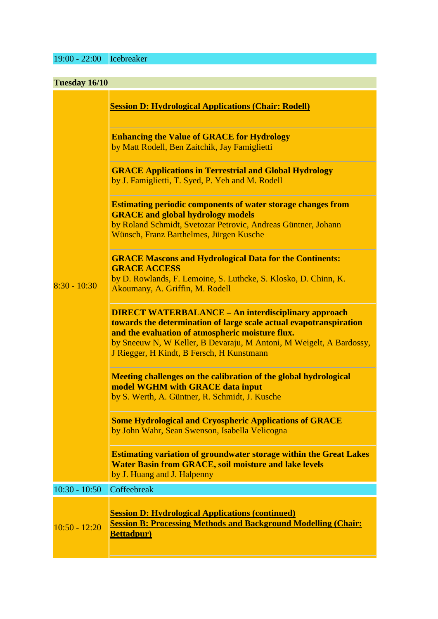19:00 - 22:00 Icebreaker

| Tuesday 16/10   |                                                                                                                                                                                                                                                                                                          |
|-----------------|----------------------------------------------------------------------------------------------------------------------------------------------------------------------------------------------------------------------------------------------------------------------------------------------------------|
|                 | <b>Session D: Hydrological Applications (Chair: Rodell)</b>                                                                                                                                                                                                                                              |
|                 | <b>Enhancing the Value of GRACE for Hydrology</b><br>by Matt Rodell, Ben Zaitchik, Jay Famiglietti                                                                                                                                                                                                       |
|                 | <b>GRACE Applications in Terrestrial and Global Hydrology</b><br>by J. Famiglietti, T. Syed, P. Yeh and M. Rodell                                                                                                                                                                                        |
|                 | <b>Estimating periodic components of water storage changes from</b><br><b>GRACE</b> and global hydrology models<br>by Roland Schmidt, Svetozar Petrovic, Andreas Güntner, Johann<br>Wünsch, Franz Barthelmes, Jürgen Kusche                                                                              |
| $8:30 - 10:30$  | <b>GRACE Mascons and Hydrological Data for the Continents:</b><br><b>GRACE ACCESS</b><br>by D. Rowlands, F. Lemoine, S. Luthcke, S. Klosko, D. Chinn, K.<br>Akoumany, A. Griffin, M. Rodell                                                                                                              |
|                 | <b>DIRECT WATERBALANCE – An interdisciplinary approach</b><br>towards the determination of large scale actual evapotranspiration<br>and the evaluation of atmospheric moisture flux.<br>by Sneeuw N, W Keller, B Devaraju, M Antoni, M Weigelt, A Bardossy,<br>J Riegger, H Kindt, B Fersch, H Kunstmann |
|                 | Meeting challenges on the calibration of the global hydrological<br>model WGHM with GRACE data input<br>by S. Werth, A. Güntner, R. Schmidt, J. Kusche                                                                                                                                                   |
|                 | <b>Some Hydrological and Cryospheric Applications of GRACE</b><br>by John Wahr, Sean Swenson, Isabella Velicogna                                                                                                                                                                                         |
|                 | <b>Estimating variation of groundwater storage within the Great Lakes</b><br><b>Water Basin from GRACE, soil moisture and lake levels</b><br>by J. Huang and J. Halpenny                                                                                                                                 |
| $10:30 - 10:50$ | Coffeebreak                                                                                                                                                                                                                                                                                              |
| $10:50 - 12:20$ | <b><u>Session D: Hydrological Applications (continued)</u></b><br><b>Session B: Processing Methods and Background Modelling (Chair:</b><br><b>Bettadpur)</b>                                                                                                                                             |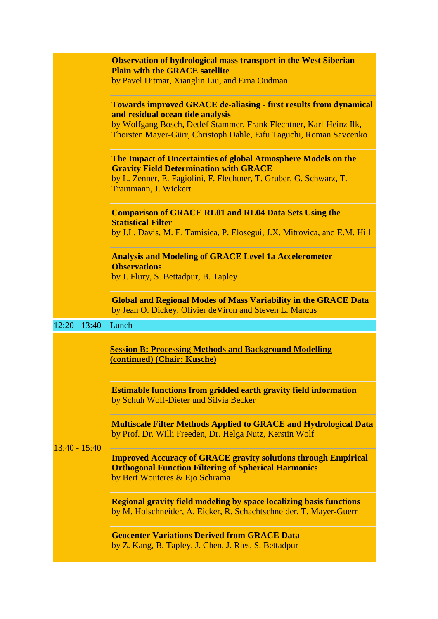|                 | <b>Observation of hydrological mass transport in the West Siberian</b><br><b>Plain with the GRACE satellite</b><br>by Pavel Ditmar, Xianglin Liu, and Erna Oudman                                                                                         |
|-----------------|-----------------------------------------------------------------------------------------------------------------------------------------------------------------------------------------------------------------------------------------------------------|
|                 | <b>Towards improved GRACE de-aliasing - first results from dynamical</b><br>and residual ocean tide analysis<br>by Wolfgang Bosch, Detlef Stammer, Frank Flechtner, Karl-Heinz Ilk,<br>Thorsten Mayer-Gürr, Christoph Dahle, Eifu Taguchi, Roman Savcenko |
|                 | The Impact of Uncertainties of global Atmosphere Models on the<br><b>Gravity Field Determination with GRACE</b><br>by L. Zenner, E. Fagiolini, F. Flechtner, T. Gruber, G. Schwarz, T.<br>Trautmann, J. Wickert                                           |
|                 | <b>Comparison of GRACE RL01 and RL04 Data Sets Using the</b><br><b>Statistical Filter</b><br>by J.L. Davis, M. E. Tamisiea, P. Elosegui, J.X. Mitrovica, and E.M. Hill                                                                                    |
|                 | <b>Analysis and Modeling of GRACE Level 1a Accelerometer</b><br><b>Observations</b><br>by J. Flury, S. Bettadpur, B. Tapley                                                                                                                               |
|                 | <b>Global and Regional Modes of Mass Variability in the GRACE Data</b><br>by Jean O. Dickey, Olivier de Viron and Steven L. Marcus                                                                                                                        |
| $12:20 - 13:40$ | Lunch                                                                                                                                                                                                                                                     |
|                 | <b>Session B: Processing Methods and Background Modelling</b><br>(continued) (Chair: Kusche)                                                                                                                                                              |
| $13:40 - 15:40$ | <b>Estimable functions from gridded earth gravity field information</b><br>by Schuh Wolf-Dieter und Silvia Becker                                                                                                                                         |
|                 | <b>Multiscale Filter Methods Applied to GRACE and Hydrological Data</b><br>by Prof. Dr. Willi Freeden, Dr. Helga Nutz, Kerstin Wolf                                                                                                                       |
|                 | <b>Improved Accuracy of GRACE gravity solutions through Empirical</b><br><b>Orthogonal Function Filtering of Spherical Harmonics</b><br>by Bert Wouteres & Ejo Schrama                                                                                    |
|                 | <b>Regional gravity field modeling by space localizing basis functions</b><br>by M. Holschneider, A. Eicker, R. Schachtschneider, T. Mayer-Guerr                                                                                                          |
|                 | <b>Geocenter Variations Derived from GRACE Data</b><br>by Z. Kang, B. Tapley, J. Chen, J. Ries, S. Bettadpur                                                                                                                                              |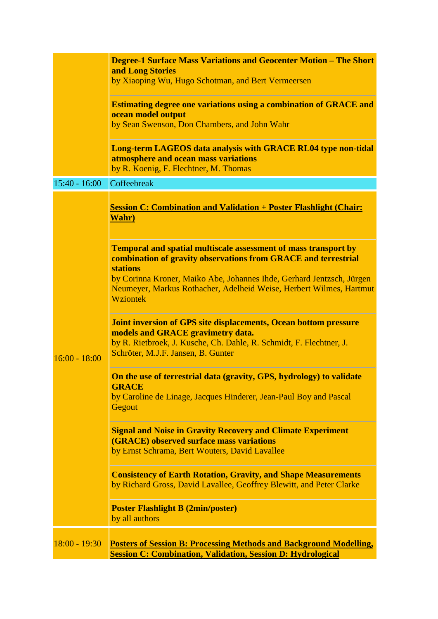|                 | <b>Degree-1 Surface Mass Variations and Geocenter Motion - The Short</b>                                                                                                                                                  |
|-----------------|---------------------------------------------------------------------------------------------------------------------------------------------------------------------------------------------------------------------------|
|                 | and Long Stories                                                                                                                                                                                                          |
|                 | by Xiaoping Wu, Hugo Schotman, and Bert Vermeersen                                                                                                                                                                        |
|                 | <b>Estimating degree one variations using a combination of GRACE and</b><br>ocean model output                                                                                                                            |
|                 | by Sean Swenson, Don Chambers, and John Wahr                                                                                                                                                                              |
|                 | <b>Long-term LAGEOS data analysis with GRACE RL04 type non-tidal</b><br>atmosphere and ocean mass variations<br>by R. Koenig, F. Flechtner, M. Thomas                                                                     |
| $15:40 - 16:00$ | Coffeebreak                                                                                                                                                                                                               |
|                 | <b>Session C: Combination and Validation + Poster Flashlight (Chair:</b><br>Wahr)                                                                                                                                         |
|                 | <b>Temporal and spatial multiscale assessment of mass transport by</b><br>combination of gravity observations from GRACE and terrestrial<br><b>stations</b>                                                               |
| $16:00 - 18:00$ | by Corinna Kroner, Maiko Abe, Johannes Ihde, Gerhard Jentzsch, Jürgen<br>Neumeyer, Markus Rothacher, Adelheid Weise, Herbert Wilmes, Hartmut<br>Wziontek                                                                  |
|                 | <b>Joint inversion of GPS site displacements, Ocean bottom pressure</b><br>models and GRACE gravimetry data.<br>by R. Rietbroek, J. Kusche, Ch. Dahle, R. Schmidt, F. Flechtner, J.<br>Schröter, M.J.F. Jansen, B. Gunter |
|                 | On the use of terrestrial data (gravity, GPS, hydrology) to validate<br><b>GRACE</b><br>by Caroline de Linage, Jacques Hinderer, Jean-Paul Boy and Pascal<br>Gegout                                                       |
|                 | <b>Signal and Noise in Gravity Recovery and Climate Experiment</b><br><b>(GRACE)</b> observed surface mass variations<br>by Ernst Schrama, Bert Wouters, David Lavallee                                                   |
|                 | <b>Consistency of Earth Rotation, Gravity, and Shape Measurements</b><br>by Richard Gross, David Lavallee, Geoffrey Blewitt, and Peter Clarke                                                                             |
|                 | <b>Poster Flashlight B (2min/poster)</b><br>by all authors                                                                                                                                                                |
| $18:00 - 19:30$ | <b>Posters of Session B: Processing Methods and Background Modelling,</b><br><b>Session C: Combination, Validation, Session D: Hydrological</b>                                                                           |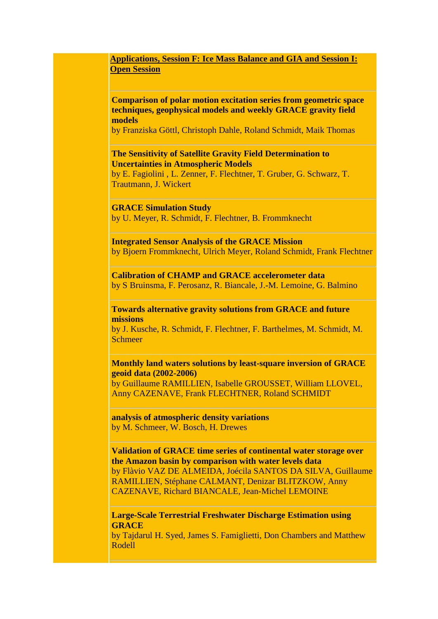**Applications, Session F: Ice Mass Balance and GIA and Session I: Open Session**

**Comparison of polar motion excitation series from geometric space techniques, geophysical models and weekly GRACE gravity field models**

by Franziska Göttl, Christoph Dahle, Roland Schmidt, Maik Thomas

**The Sensitivity of Satellite Gravity Field Determination to Uncertainties in Atmospheric Models**

by E. Fagiolini , L. Zenner, F. Flechtner, T. Gruber, G. Schwarz, T. Trautmann, J. Wickert

**GRACE Simulation Study**

by U. Meyer, R. Schmidt, F. Flechtner, B. Frommknecht

**Integrated Sensor Analysis of the GRACE Mission** by Bjoern Frommknecht, Ulrich Meyer, Roland Schmidt, Frank Flechtner

**Calibration of CHAMP and GRACE accelerometer data** by S Bruinsma, F. Perosanz, R. Biancale, J.-M. Lemoine, G. Balmino

**Towards alternative gravity solutions from GRACE and future missions**

by J. Kusche, R. Schmidt, F. Flechtner, F. Barthelmes, M. Schmidt, M. Schmeer

## **Monthly land waters solutions by least-square inversion of GRACE geoid data (2002-2006)**

by Guillaume RAMILLIEN, Isabelle GROUSSET, William LLOVEL, Anny CAZENAVE, Frank FLECHTNER, Roland SCHMIDT

**analysis of atmospheric density variations** by M. Schmeer, W. Bosch, H. Drewes

**Validation of GRACE time series of continental water storage over the Amazon basin by comparison with water levels data**  by Flàvio VAZ DE ALMEIDA, Joécila SANTOS DA SILVA, Guillaume RAMILLIEN, Stéphane CALMANT, Denizar BLITZKOW, Anny CAZENAVE, Richard BIANCALE, Jean-Michel LEMOINE

**Large-Scale Terrestrial Freshwater Discharge Estimation using GRACE**

by Tajdarul H. Syed, James S. Famiglietti, Don Chambers and Matthew Rodell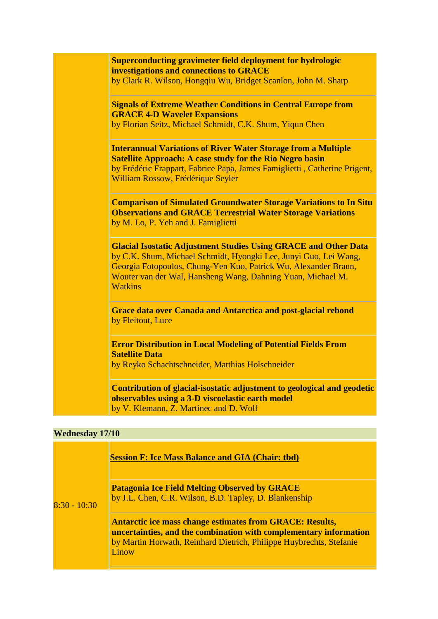| <b>Superconducting gravimeter field deployment for hydrologic</b>         |
|---------------------------------------------------------------------------|
| investigations and connections to GRACE                                   |
| by Clark R. Wilson, Hongqiu Wu, Bridget Scanlon, John M. Sharp            |
| <b>Signals of Extreme Weather Conditions in Central Europe from</b>       |
| <b>GRACE 4-D Wavelet Expansions</b>                                       |
| by Florian Seitz, Michael Schmidt, C.K. Shum, Yiqun Chen                  |
| <b>Interannual Variations of River Water Storage from a Multiple</b>      |
| <b>Satellite Approach: A case study for the Rio Negro basin</b>           |
| by Frédéric Frappart, Fabrice Papa, James Famiglietti, Catherine Prigent, |
| William Rossow, Frédérique Seyler                                         |
| <b>Comparison of Simulated Groundwater Storage Variations to In Situ</b>  |
| <b>Observations and GRACE Terrestrial Water Storage Variations</b>        |
| by M. Lo, P. Yeh and J. Famiglietti                                       |
|                                                                           |
| <b>Glacial Isostatic Adjustment Studies Using GRACE and Other Data</b>    |
| by C.K. Shum, Michael Schmidt, Hyongki Lee, Junyi Guo, Lei Wang,          |
| Georgia Fotopoulos, Chung-Yen Kuo, Patrick Wu, Alexander Braun,           |
| Wouter van der Wal, Hansheng Wang, Dahning Yuan, Michael M.               |
| <b>Watkins</b>                                                            |
| <b>Grace data over Canada and Antarctica and post-glacial rebond</b>      |
| by Fleitout, Luce                                                         |
|                                                                           |
| <b>Error Distribution in Local Modeling of Potential Fields From</b>      |
| <b>Satellite Data</b>                                                     |
| by Reyko Schachtschneider, Matthias Holschneider                          |
| Contribution of glacial-isostatic adjustment to geological and geodetic   |
| observables using a 3-D viscoelastic earth model                          |
| by V. Klemann, Z. Martinec and D. Wolf                                    |

## **Wednesday 17/10**

| $8:30 - 10:30$ | <b>Session F: Ice Mass Balance and GIA (Chair: tbd)</b>                                                                                                                                                              |
|----------------|----------------------------------------------------------------------------------------------------------------------------------------------------------------------------------------------------------------------|
|                | <b>Patagonia Ice Field Melting Observed by GRACE</b><br>by J.L. Chen, C.R. Wilson, B.D. Tapley, D. Blankenship                                                                                                       |
|                | <b>Antarctic ice mass change estimates from GRACE: Results,</b><br>uncertainties, and the combination with complementary information<br>by Martin Horwath, Reinhard Dietrich, Philippe Huybrechts, Stefanie<br>Linow |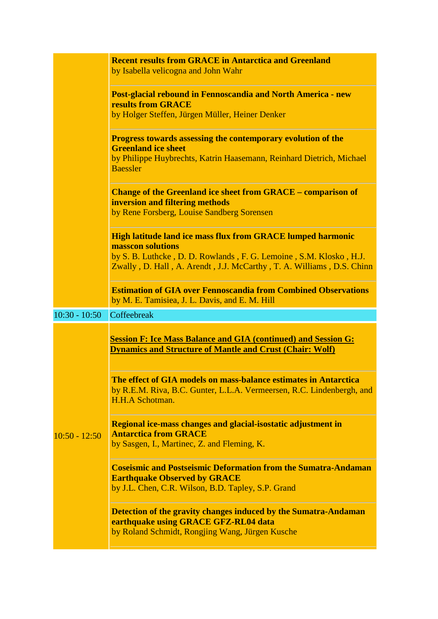|                 | <b>Recent results from GRACE in Antarctica and Greenland</b><br>by Isabella velicogna and John Wahr                                                                                                                                    |
|-----------------|----------------------------------------------------------------------------------------------------------------------------------------------------------------------------------------------------------------------------------------|
|                 | <b>Post-glacial rebound in Fennoscandia and North America - new</b><br><b>results from GRACE</b><br>by Holger Steffen, Jürgen Müller, Heiner Denker                                                                                    |
|                 | <b>Progress towards assessing the contemporary evolution of the</b><br><b>Greenland ice sheet</b><br>by Philippe Huybrechts, Katrin Haasemann, Reinhard Dietrich, Michael<br><b>Baessler</b>                                           |
|                 | <b>Change of the Greenland ice sheet from GRACE – comparison of</b><br>inversion and filtering methods<br>by Rene Forsberg, Louise Sandberg Sorensen                                                                                   |
|                 | <b>High latitude land ice mass flux from GRACE lumped harmonic</b><br>masscon solutions<br>by S. B. Luthcke, D. D. Rowlands, F. G. Lemoine, S.M. Klosko, H.J.<br>Zwally, D. Hall, A. Arendt, J.J. McCarthy, T. A. Williams, D.S. Chinn |
|                 | <b>Estimation of GIA over Fennoscandia from Combined Observations</b><br>by M. E. Tamisiea, J. L. Davis, and E. M. Hill                                                                                                                |
| $10:30 - 10:50$ | Coffeebreak                                                                                                                                                                                                                            |
|                 | <b>Session F: Ice Mass Balance and GIA (continued) and Session G:</b><br><b>Dynamics and Structure of Mantle and Crust (Chair: Wolf)</b>                                                                                               |
|                 | The effect of GIA models on mass-balance estimates in Antarctica<br>by R.E.M. Riva, B.C. Gunter, L.L.A. Vermeersen, R.C. Lindenbergh, and<br>H.H.A Schotman.                                                                           |
| $10:50 - 12:50$ | Regional ice-mass changes and glacial-isostatic adjustment in<br><b>Antarctica from GRACE</b><br>by Sasgen, I., Martinec, Z. and Fleming, K.                                                                                           |
|                 | <b>Coseismic and Postseismic Deformation from the Sumatra-Andaman</b><br><b>Earthquake Observed by GRACE</b><br>by J.L. Chen, C.R. Wilson, B.D. Tapley, S.P. Grand                                                                     |
|                 |                                                                                                                                                                                                                                        |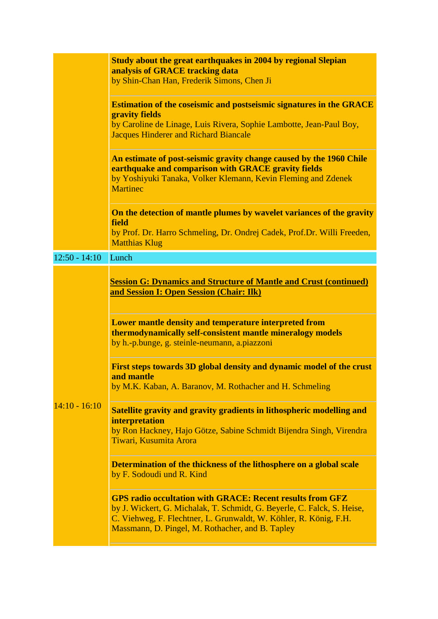|                 | Study about the great earthquakes in 2004 by regional Slepian<br>analysis of GRACE tracking data<br>by Shin-Chan Han, Frederik Simons, Chen Ji                                                                                                                                               |
|-----------------|----------------------------------------------------------------------------------------------------------------------------------------------------------------------------------------------------------------------------------------------------------------------------------------------|
|                 | <b>Estimation of the coseismic and postseismic signatures in the GRACE</b><br>gravity fields<br>by Caroline de Linage, Luis Rivera, Sophie Lambotte, Jean-Paul Boy,<br><b>Jacques Hinderer and Richard Biancale</b>                                                                          |
|                 | An estimate of post-seismic gravity change caused by the 1960 Chile<br>earthquake and comparison with GRACE gravity fields<br>by Yoshiyuki Tanaka, Volker Klemann, Kevin Fleming and Zdenek<br><b>Martinec</b>                                                                               |
|                 | On the detection of mantle plumes by wavelet variances of the gravity<br>field<br>by Prof. Dr. Harro Schmeling, Dr. Ondrej Cadek, Prof.Dr. Willi Freeden,<br><b>Matthias Klug</b>                                                                                                            |
| $12:50 - 14:10$ | Lunch                                                                                                                                                                                                                                                                                        |
|                 | <b>Session G: Dynamics and Structure of Mantle and Crust (continued)</b><br>and Session I: Open Session (Chair: Ilk)<br>Lower mantle density and temperature interpreted from<br>thermodynamically self-consistent mantle mineralogy models<br>by h.-p.bunge, g. steinle-neumann, a.piazzoni |
|                 | First steps towards 3D global density and dynamic model of the crust<br>and mantle<br>by M.K. Kaban, A. Baranov, M. Rothacher and H. Schmeling                                                                                                                                               |
| $14:10 - 16:10$ | Satellite gravity and gravity gradients in lithospheric modelling and<br><i>interpretation</i><br>by Ron Hackney, Hajo Götze, Sabine Schmidt Bijendra Singh, Virendra<br>Tiwari, Kusumita Arora                                                                                              |
|                 | Determination of the thickness of the lithosphere on a global scale<br>by F. Sodoudi und R. Kind                                                                                                                                                                                             |
|                 | <b>GPS radio occultation with GRACE: Recent results from GFZ</b><br>by J. Wickert, G. Michalak, T. Schmidt, G. Beyerle, C. Falck, S. Heise,<br>C. Viehweg, F. Flechtner, L. Grunwaldt, W. Köhler, R. König, F.H.<br>Massmann, D. Pingel, M. Rothacher, and B. Tapley                         |